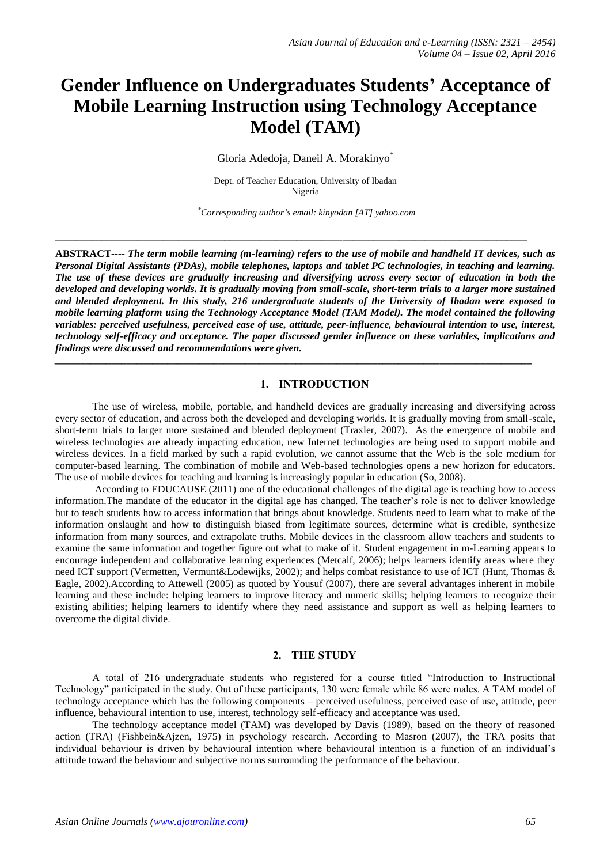# **Gender Influence on Undergraduates Students' Acceptance of Mobile Learning Instruction using Technology Acceptance Model (TAM)**

Gloria Adedoja, Daneil A. Morakinyo\*

Dept. of Teacher Education, University of Ibadan Nigeria

*\*Corresponding author's email: kinyodan [AT] yahoo.com*

**\_\_\_\_\_\_\_\_\_\_\_\_\_\_\_\_\_\_\_\_\_\_\_\_\_\_\_\_\_\_\_\_\_\_\_\_\_\_\_\_\_\_\_\_\_\_\_\_\_\_\_\_\_\_\_\_\_\_\_\_\_\_\_\_\_\_\_\_\_\_\_\_\_\_\_\_\_\_\_\_\_\_\_\_\_\_\_\_\_\_\_\_**

**ABSTRACT----** *The term mobile learning (m-learning) refers to the use of mobile and handheld IT devices, such as Personal Digital Assistants (PDAs), mobile telephones, laptops and tablet PC technologies, in teaching and learning. The use of these devices are gradually increasing and diversifying across every sector of education in both the developed and developing worlds. It is gradually moving from small-scale, short-term trials to a larger more sustained and blended deployment. In this study, 216 undergraduate students of the University of Ibadan were exposed to mobile learning platform using the Technology Acceptance Model (TAM Model). The model contained the following variables: perceived usefulness, perceived ease of use, attitude, peer-influence, behavioural intention to use, interest, technology self-efficacy and acceptance. The paper discussed gender influence on these variables, implications and findings were discussed and recommendations were given.*

*\_\_\_\_\_\_\_\_\_\_\_\_\_\_\_\_\_\_\_\_\_\_\_\_\_\_\_\_\_\_\_\_\_\_\_\_\_\_\_\_\_\_\_\_\_\_\_\_\_\_\_\_\_\_\_\_\_\_\_\_\_\_\_\_\_\_\_\_\_\_\_\_\_\_\_\_\_\_\_\_\_\_\_\_\_\_\_\_\_\_\_\_\_*

#### **1. INTRODUCTION**

The use of wireless, mobile, portable, and handheld devices are gradually increasing and diversifying across every sector of education, and across both the developed and developing worlds. It is gradually moving from small-scale, short-term trials to larger more sustained and blended deployment (Traxler, 2007). As the emergence of mobile and wireless technologies are already impacting education, new Internet technologies are being used to support mobile and wireless devices. In a field marked by such a rapid evolution, we cannot assume that the Web is the sole medium for computer-based learning. The combination of mobile and Web-based technologies opens a new horizon for educators. The use of mobile devices for teaching and learning is increasingly popular in education (So, 2008).

According to EDUCAUSE (2011) one of the educational challenges of the digital age is teaching how to access information.The mandate of the educator in the digital age has changed. The teacher's role is not to deliver knowledge but to teach students how to access information that brings about knowledge. Students need to learn what to make of the information onslaught and how to distinguish biased from legitimate sources, determine what is credible, synthesize information from many sources, and extrapolate truths. Mobile devices in the classroom allow teachers and students to examine the same information and together figure out what to make of it. Student engagement in m-Learning appears to encourage independent and collaborative learning experiences (Metcalf, 2006); helps learners identify areas where they need ICT support (Vermetten, Vermunt&Lodewijks, 2002); and helps combat resistance to use of ICT (Hunt, Thomas & Eagle, 2002).According to Attewell (2005) as quoted by Yousuf (2007), there are several advantages inherent in mobile learning and these include: helping learners to improve literacy and numeric skills; helping learners to recognize their existing abilities; helping learners to identify where they need assistance and support as well as helping learners to overcome the digital divide.

## **2. THE STUDY**

A total of 216 undergraduate students who registered for a course titled "Introduction to Instructional Technology" participated in the study. Out of these participants, 130 were female while 86 were males. A TAM model of technology acceptance which has the following components – perceived usefulness, perceived ease of use, attitude, peer influence, behavioural intention to use, interest, technology self-efficacy and acceptance was used.

The technology acceptance model (TAM) was developed by Davis (1989), based on the theory of reasoned action (TRA) (Fishbein&Ajzen, 1975) in psychology research. According to Masron (2007), the TRA posits that individual behaviour is driven by behavioural intention where behavioural intention is a function of an individual's attitude toward the behaviour and subjective norms surrounding the performance of the behaviour.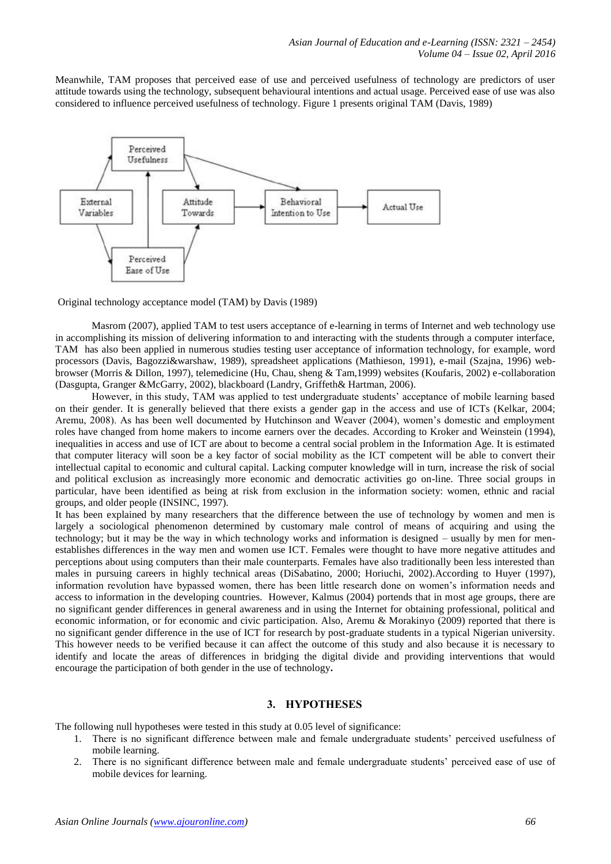Meanwhile, TAM proposes that perceived ease of use and perceived usefulness of technology are predictors of user attitude towards using the technology, subsequent behavioural intentions and actual usage. Perceived ease of use was also considered to influence perceived usefulness of technology. Figure 1 presents original TAM (Davis, 1989)



Original technology acceptance model (TAM) by Davis (1989)

Masrom (2007), applied TAM to test users acceptance of e-learning in terms of Internet and web technology use in accomplishing its mission of delivering information to and interacting with the students through a computer interface, TAM has also been applied in numerous studies testing user acceptance of information technology, for example, word processors (Davis, Bagozzi&warshaw, 1989), spreadsheet applications (Mathieson, 1991), e-mail (Szajna, 1996) webbrowser (Morris & Dillon, 1997), telemedicine (Hu, Chau, sheng & Tam,1999) websites (Koufaris, 2002) e-collaboration (Dasgupta, Granger &McGarry, 2002), blackboard (Landry, Griffeth& Hartman, 2006).

However, in this study, TAM was applied to test undergraduate students' acceptance of mobile learning based on their gender. It is generally believed that there exists a gender gap in the access and use of ICTs (Kelkar, 2004; Aremu, 2008). As has been well documented by Hutchinson and Weaver (2004), women's domestic and employment roles have changed from home makers to income earners over the decades. According to Kroker and Weinstein (1994), inequalities in access and use of ICT are about to become a central social problem in the Information Age. It is estimated that computer literacy will soon be a key factor of social mobility as the ICT competent will be able to convert their intellectual capital to economic and cultural capital. Lacking computer knowledge will in turn, increase the risk of social and political exclusion as increasingly more economic and democratic activities go on-line. Three social groups in particular, have been identified as being at risk from exclusion in the information society: women, ethnic and racial groups, and older people (INSINC, 1997).

It has been explained by many researchers that the difference between the use of technology by women and men is largely a sociological phenomenon determined by customary male control of means of acquiring and using the technology; but it may be the way in which technology works and information is designed – usually by men for menestablishes differences in the way men and women use ICT. Females were thought to have more negative attitudes and perceptions about using computers than their male counterparts. Females have also traditionally been less interested than males in pursuing careers in highly technical areas (DiSabatino, 2000; Horiuchi, 2002).According to Huyer (1997), information revolution have bypassed women, there has been little research done on women's information needs and access to information in the developing countries. However, Kalmus (2004) portends that in most age groups, there are no significant gender differences in general awareness and in using the Internet for obtaining professional, political and economic information, or for economic and civic participation. Also, Aremu & Morakinyo (2009) reported that there is no significant gender difference in the use of ICT for research by post-graduate students in a typical Nigerian university. This however needs to be verified because it can affect the outcome of this study and also because it is necessary to identify and locate the areas of differences in bridging the digital divide and providing interventions that would encourage the participation of both gender in the use of technology**.**

## **3. HYPOTHESES**

The following null hypotheses were tested in this study at 0.05 level of significance:

- 1. There is no significant difference between male and female undergraduate students' perceived usefulness of mobile learning.
- 2. There is no significant difference between male and female undergraduate students' perceived ease of use of mobile devices for learning.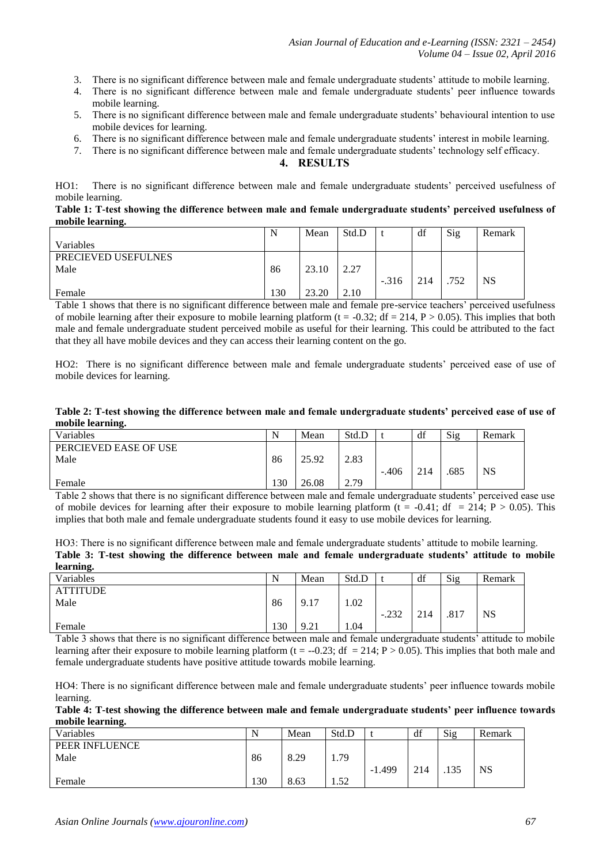- 3. There is no significant difference between male and female undergraduate students' attitude to mobile learning.
- 4. There is no significant difference between male and female undergraduate students' peer influence towards mobile learning.
- 5. There is no significant difference between male and female undergraduate students' behavioural intention to use mobile devices for learning.
- 6. There is no significant difference between male and female undergraduate students' interest in mobile learning.
- 7. There is no significant difference between male and female undergraduate students' technology self efficacy.

## **4. RESULTS**

HO1: There is no significant difference between male and female undergraduate students' perceived usefulness of mobile learning.

#### **Table 1: T-test showing the difference between male and female undergraduate students' perceived usefulness of mobile learning.**

|                     | N   | Mean  | Std.D |         | df  | Sig  | Remark    |
|---------------------|-----|-------|-------|---------|-----|------|-----------|
| Variables           |     |       |       |         |     |      |           |
| PRECIEVED USEFULNES |     |       |       |         |     |      |           |
| Male                | 86  | 23.10 | 2.27  |         |     |      |           |
|                     |     |       |       | $-.316$ | 214 | .752 | <b>NS</b> |
| Female              | 130 | 23.20 | 2.10  |         |     |      |           |

Table 1 shows that there is no significant difference between male and female pre-service teachers' perceived usefulness of mobile learning after their exposure to mobile learning platform  $(t = -0.32; df = 214, P > 0.05)$ . This implies that both male and female undergraduate student perceived mobile as useful for their learning. This could be attributed to the fact that they all have mobile devices and they can access their learning content on the go.

HO2: There is no significant difference between male and female undergraduate students' perceived ease of use of mobile devices for learning.

#### **Table 2: T-test showing the difference between male and female undergraduate students' perceived ease of use of mobile learning.**

| .                     |     |       |       |         |     |      |        |
|-----------------------|-----|-------|-------|---------|-----|------|--------|
| Variables             | N   | Mean  | Std.D |         | df  | Sig  | Remark |
| PERCIEVED EASE OF USE |     |       |       |         |     |      |        |
| Male                  | 86  | 25.92 | 2.83  |         |     |      |        |
|                       |     |       |       | $-.406$ | 214 | .685 | NS     |
| Female                | 130 | 26.08 | 2.79  |         |     |      |        |

Table 2 shows that there is no significant difference between male and female undergraduate students' perceived ease use of mobile devices for learning after their exposure to mobile learning platform (t = -0.41; df = 214; P > 0.05). This implies that both male and female undergraduate students found it easy to use mobile devices for learning.

HO3: There is no significant difference between male and female undergraduate students' attitude to mobile learning. **Table 3: T-test showing the difference between male and female undergraduate students' attitude to mobile learning.**

| Variables       | N   | Mean | Std.D |         | df  | Sig  | Remark    |
|-----------------|-----|------|-------|---------|-----|------|-----------|
| <b>ATTITUDE</b> |     |      |       |         |     |      |           |
| Male            | 86  | 9.17 | 1.02  |         |     |      |           |
|                 |     |      |       | $-.232$ | 214 | .817 | <b>NS</b> |
| Female          | 130 | 9.21 | 1.04  |         |     |      |           |

Table 3 shows that there is no significant difference between male and female undergraduate students' attitude to mobile learning after their exposure to mobile learning platform (t = -0.23; df = 214; P > 0.05). This implies that both male and female undergraduate students have positive attitude towards mobile learning.

HO4: There is no significant difference between male and female undergraduate students' peer influence towards mobile learning.

| Table 4: T-test showing the difference between male and female undergraduate students' peer influence towards |  |  |  |  |  |
|---------------------------------------------------------------------------------------------------------------|--|--|--|--|--|
| mobile learning.                                                                                              |  |  |  |  |  |

| Variables      | N   | Mean | Std.D |          | df  | Sig  | Remark |
|----------------|-----|------|-------|----------|-----|------|--------|
| PEER INFLUENCE |     |      |       |          |     |      |        |
| Male           | 86  | 8.29 | 1.79  |          |     |      |        |
|                |     |      |       | $-1.499$ | 214 | .135 | NS     |
| Female         | 130 | 8.63 | 1.52  |          |     |      |        |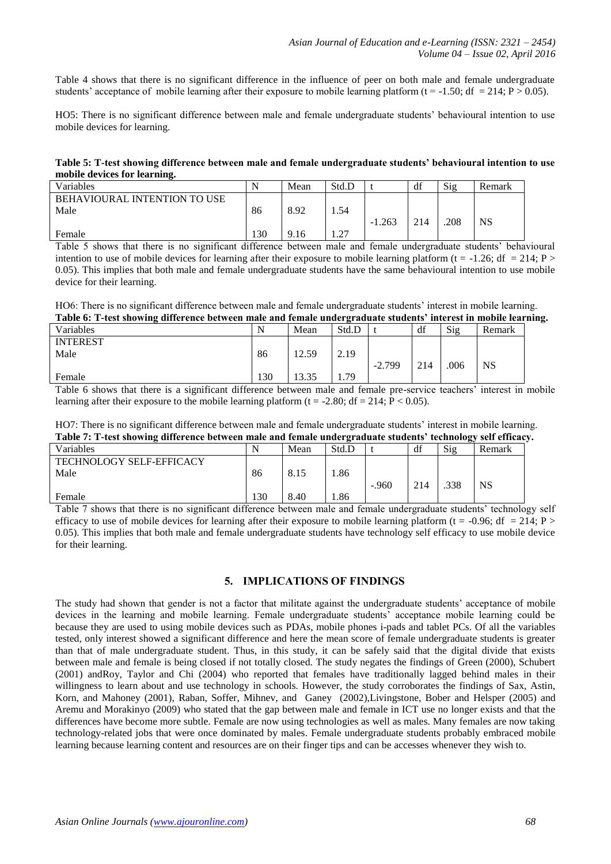Table 4 shows that there is no significant difference in the influence of peer on both male and female undergraduate students' acceptance of mobile learning after their exposure to mobile learning platform ( $t = -1.50$ ; df  $= 214$ ;  $P > 0.05$ ).

HO5: There is no significant difference between male and female undergraduate students' behavioural intention to use mobile devices for learning.

**Table 5: T-test showing difference between male and female undergraduate students' behavioural intention to use mobile devices for learning.**

| Variables                           | N   | Mean | Std.D               |          | df  | Sig  | Remark    |
|-------------------------------------|-----|------|---------------------|----------|-----|------|-----------|
| <b>BEHAVIOURAL INTENTION TO USE</b> |     |      |                     |          |     |      |           |
| Male                                | 86  | 8.92 | 1.54                |          |     |      |           |
|                                     |     |      |                     | $-1.263$ | 214 | .208 | <b>NS</b> |
| Female                              | 130 | 9.16 | ີ<br>$\overline{1}$ |          |     |      |           |

Table 5 shows that there is no significant difference between male and female undergraduate students' behavioural intention to use of mobile devices for learning after their exposure to mobile learning platform (t = -1.26; df = 214; P > 0.05). This implies that both male and female undergraduate students have the same behavioural intention to use mobile device for their learning.

HO6: There is no significant difference between male and female undergraduate students' interest in mobile learning. **Table 6: T-test showing difference between male and female undergraduate students' interest in mobile learning.**

| Table v. T-test showing unference between male and female undergraduate students "interest in mobile learni |     |       |                 |          |     |      |           |  |
|-------------------------------------------------------------------------------------------------------------|-----|-------|-----------------|----------|-----|------|-----------|--|
| Variables                                                                                                   |     | Mean  | Std.D           |          | df  | Sig  | Remark    |  |
| <b>INTEREST</b>                                                                                             |     |       |                 |          |     |      |           |  |
| Male                                                                                                        | 86  | 12.59 | 2.19            |          |     |      |           |  |
|                                                                                                             |     |       |                 | $-2.799$ | 214 | .006 | <b>NS</b> |  |
| Female                                                                                                      | 130 | 13.35 | <sup>1.79</sup> |          |     |      |           |  |

Table 6 shows that there is a significant difference between male and female pre-service teachers' interest in mobile learning after their exposure to the mobile learning platform (t = -2.80; df = 214;  $\overline{P}$  < 0.05).

HO7: There is no significant difference between male and female undergraduate students' interest in mobile learning. **Table 7: T-test showing difference between male and female undergraduate students' technology self efficacy.**

| Variables                               | N   | Mean | Std.D |         | df  | Öv<br>Sig | Remark |
|-----------------------------------------|-----|------|-------|---------|-----|-----------|--------|
| <b>TECHNOLOGY SELF-EFFICACY</b><br>Male | 86  | 8.15 | .86   | $-.960$ | 214 | .338      | NS     |
| Female                                  | 130 | 8.40 | 1.86  |         |     |           |        |

Table 7 shows that there is no significant difference between male and female undergraduate students' technology self efficacy to use of mobile devices for learning after their exposure to mobile learning platform (t = -0.96; df = 214; P > 0.05). This implies that both male and female undergraduate students have technology self efficacy to use mobile device for their learning.

# **5. IMPLICATIONS OF FINDINGS**

The study had shown that gender is not a factor that militate against the undergraduate students' acceptance of mobile devices in the learning and mobile learning. Female undergraduate students' acceptance mobile learning could be because they are used to using mobile devices such as PDAs, mobile phones i-pads and tablet PCs. Of all the variables tested, only interest showed a significant difference and here the mean score of female undergraduate students is greater than that of male undergraduate student. Thus, in this study, it can be safely said that the digital divide that exists between male and female is being closed if not totally closed. The study negates the findings of Green (2000), Schubert (2001) andRoy, Taylor and Chi (2004) who reported that females have traditionally lagged behind males in their willingness to learn about and use technology in schools. However, the study corroborates the findings of Sax, Astin, Korn, and Mahoney (2001), Raban, Soffer, Mihnev, and Ganey (2002),Livingstone, Bober and Helsper (2005) and Aremu and Morakinyo (2009) who stated that the gap between male and female in ICT use no longer exists and that the differences have become more subtle. Female are now using technologies as well as males. Many females are now taking technology-related jobs that were once dominated by males. Female undergraduate students probably embraced mobile learning because learning content and resources are on their finger tips and can be accesses whenever they wish to.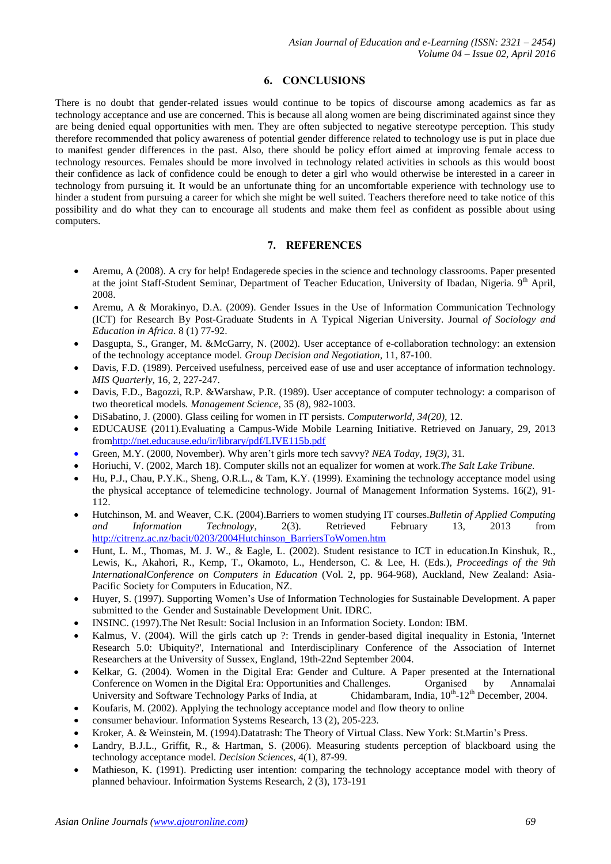# **6. CONCLUSIONS**

There is no doubt that gender-related issues would continue to be topics of discourse among academics as far as technology acceptance and use are concerned. This is because all along women are being discriminated against since they are being denied equal opportunities with men. They are often subjected to negative stereotype perception. This study therefore recommended that policy awareness of potential gender difference related to technology use is put in place due to manifest gender differences in the past. Also, there should be policy effort aimed at improving female access to technology resources. Females should be more involved in technology related activities in schools as this would boost their confidence as lack of confidence could be enough to deter a girl who would otherwise be interested in a career in technology from pursuing it. It would be an unfortunate thing for an uncomfortable experience with technology use to hinder a student from pursuing a career for which she might be well suited. Teachers therefore need to take notice of this possibility and do what they can to encourage all students and make them feel as confident as possible about using computers.

# **7. REFERENCES**

- Aremu, A (2008). A cry for help! Endagerede species in the science and technology classrooms. Paper presented at the joint Staff-Student Seminar, Department of Teacher Education, University of Ibadan, Nigeria. 9<sup>th</sup> April, 2008.
- Aremu, A & Morakinyo, D.A. (2009). Gender Issues in the Use of Information Communication Technology (ICT) for Research By Post-Graduate Students in A Typical Nigerian University. Journal *of Sociology and Education in Africa*. 8 (1) 77-92.
- Dasgupta, S., Granger, M. &McGarry, N. (2002). User acceptance of e-collaboration technology: an extension of the technology acceptance model*. Group Decision and Negotiation*, 11, 87-100.
- Davis, F.D. (1989). Perceived usefulness, perceived ease of use and user acceptance of information technology. *MIS Quarterly*, 16, 2, 227-247.
- Davis, F.D., Bagozzi, R.P. &Warshaw, P.R. (1989). User acceptance of computer technology: a comparison of two theoretical models*. Management Science*, 35 (8), 982-1003.
- DiSabatino, J. (2000). Glass ceiling for women in IT persists. *Computerworld, 34(20),* 12.
- EDUCAUSE (2011).Evaluating a Campus-Wide Mobile Learning Initiative. Retrieved on January, 29, 2013 fro[mhttp://net.educause.edu/ir/library/pdf/LIVE115b.pdf](http://net.educause.edu/ir/library/pdf/LIVE115b.pdf)
- Green, M.Y. (2000, November). Why aren't girls more tech savvy? *NEA Today, 19(3),* 31*.*
- Horiuchi, V. (2002, March 18). Computer skills not an equalizer for women at work.*The Salt Lake Tribune.*
- Hu, P.J., Chau, P.Y.K., Sheng, O.R.L., & Tam, K.Y. (1999). Examining the technology acceptance model using the physical acceptance of telemedicine technology. Journal of Management Information Systems. 16(2), 91- 112.
- Hutchinson, M. and Weaver, C.K. (2004).Barriers to women studying IT courses.*Bulletin of Applied Computing and Information Technology*, 2(3). Retrieved February 13, 2013 from [http://citrenz.ac.nz/bacit/0203/2004Hutchinson\\_BarriersToWomen.htm](http://citrenz.ac.nz/bacit/0203/2004Hutchinson_BarriersToWomen.htm)
- Hunt, L. M., Thomas, M. J. W., & Eagle, L. (2002). Student resistance to ICT in education.In Kinshuk, R., Lewis, K., Akahori, R., Kemp, T., Okamoto, L., Henderson, C. & Lee, H. (Eds.), *Proceedings of the 9th InternationalConference on Computers in Education* (Vol. 2, pp. 964-968), Auckland, New Zealand: Asia-Pacific Society for Computers in Education, NZ.
- Huyer, S. (1997). Supporting Women's Use of Information Technologies for Sustainable Development. A paper submitted to the Gender and Sustainable Development Unit. IDRC.
- INSINC. (1997).The Net Result: Social Inclusion in an Information Society. London: IBM.
- Kalmus, V. (2004). Will the girls catch up ?: Trends in gender-based digital inequality in Estonia, 'Internet Research 5.0: Ubiquity?', International and Interdisciplinary Conference of the Association of Internet Researchers at the University of Sussex, England, 19th-22nd September 2004.
- Kelkar, G. (2004). Women in the Digital Era: Gender and Culture. A Paper presented at the International Conference on Women in the Digital Era: Opportunities and Challenges. Organised by Annamalai University and Software Technology Parks of India, at Chidambaram, India,  $10^{th}$ -12<sup>th</sup> December, 2004.
- Koufaris, M. (2002). Applying the technology acceptance model and flow theory to online
- consumer behaviour. Information Systems Research, 13 (2), 205-223.
- Kroker, A. & Weinstein, M. (1994).Datatrash: The Theory of Virtual Class. New York: St.Martin's Press.
- Landry, B.J.L., Griffit, R., & Hartman, S. (2006). Measuring students perception of blackboard using the technology acceptance model. *Decision Sciences*, 4(1), 87-99.
- Mathieson, K. (1991). Predicting user intention: comparing the technology acceptance model with theory of planned behaviour. Infoirmation Systems Research, 2 (3), 173-191